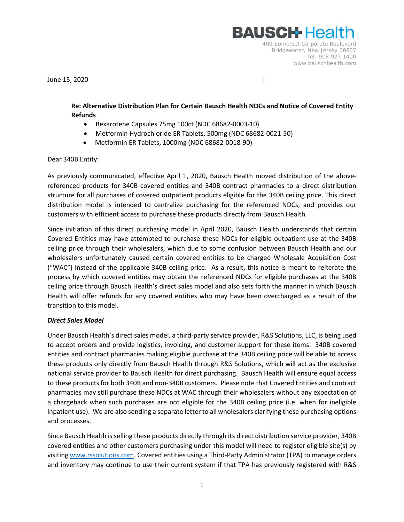**BAUSCH-Healt** 400 Somerset Corporate Boulevard Bridgewater, New Jersey 08807 Tel: 908.927.1400 www.bauschhealth.com

June 15, 2020 i

## **Re: Alternative Distribution Plan for Certain Bausch Health NDCs and Notice of Covered Entity Refunds**

- Bexarotene Capsules 75mg 100ct (NDC 68682-0003-10)
- Metformin Hydrochloride ER Tablets, 500mg (NDC 68682-0021-50)
- Metformin ER Tablets, 1000mg (NDC 68682-0018-90)

## Dear 340B Entity:

As previously communicated, effective April 1, 2020, Bausch Health moved distribution of the abovereferenced products for 340B covered entities and 340B contract pharmacies to a direct distribution structure for all purchases of covered outpatient products eligible for the 340B ceiling price. This direct distribution model is intended to centralize purchasing for the referenced NDCs, and provides our customers with efficient access to purchase these products directly from Bausch Health.

Since initiation of this direct purchasing model in April 2020, Bausch Health understands that certain Covered Entities may have attempted to purchase these NDCs for eligible outpatient use at the 340B ceiling price through their wholesalers, which due to some confusion between Bausch Health and our wholesalers unfortunately caused certain covered entities to be charged Wholesale Acquisition Cost ("WAC") instead of the applicable 340B ceiling price. As a result, this notice is meant to reiterate the process by which covered entities may obtain the referenced NDCs for eligible purchases at the 340B ceiling price through Bausch Health's direct sales model and also sets forth the manner in which Bausch Health will offer refunds for any covered entities who may have been overcharged as a result of the transition to this model.

## *Direct Sales Model*

Under Bausch Health's direct sales model, a third-party service provider, R&S Solutions, LLC, is being used to accept orders and provide logistics, invoicing, and customer support for these items. 340B covered entities and contract pharmacies making eligible purchase at the 340B ceiling price will be able to access these products only directly from Bausch Health through R&S Solutions, which will act as the exclusive national service provider to Bausch Health for direct purchasing. Bausch Health will ensure equal access to these products for both 340B and non-340B customers. Please note that Covered Entities and contract pharmacies may still purchase these NDCs at WAC through their wholesalers without any expectation of a chargeback when such purchases are not eligible for the 340B ceiling price (i.e. when for ineligible inpatient use). We are also sending a separate letter to all wholesalers clarifying these purchasing options and processes.

Since Bausch Health is selling these products directly through its direct distribution service provider, 340B covered entities and other customers purchasing under this model will need to register eligible site(s) by visiting [www.rssolutions.com.](http://www.rssolutions.com/) Covered entities using a Third-Party Administrator (TPA) to manage orders and inventory may continue to use their current system if that TPA has previously registered with R&S